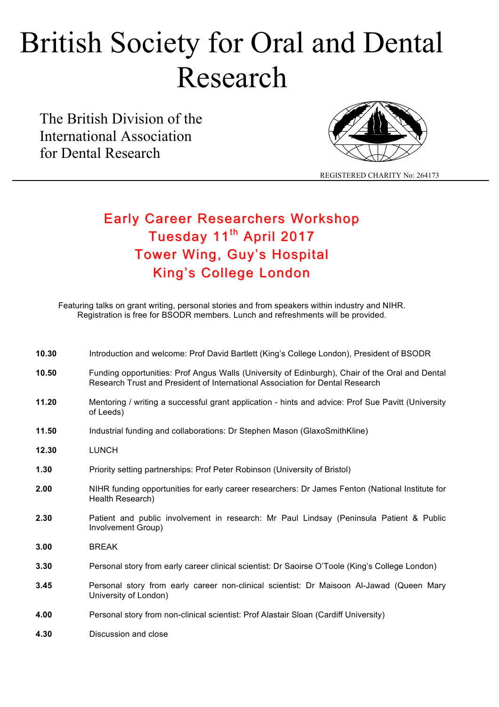# British Society for Oral and Dental Research

The British Division of the International Association for Dental Research



REGISTERED CHARITY No: 264173

### Early Career Researchers Workshop Tuesday 11<sup>th</sup> April 2017 Tower Wing, Guy's Hospital King's College London

Featuring talks on grant writing, personal stories and from speakers within industry and NIHR. Registration is free for BSODR members. Lunch and refreshments will be provided.

| 10.30 | Introduction and welcome: Prof David Bartlett (King's College London), President of BSODR                                                                                        |
|-------|----------------------------------------------------------------------------------------------------------------------------------------------------------------------------------|
| 10.50 | Funding opportunities: Prof Angus Walls (University of Edinburgh), Chair of the Oral and Dental<br>Research Trust and President of International Association for Dental Research |
| 11.20 | Mentoring / writing a successful grant application - hints and advice: Prof Sue Pavitt (University<br>of Leeds)                                                                  |
| 11.50 | Industrial funding and collaborations: Dr Stephen Mason (GlaxoSmithKline)                                                                                                        |
| 12.30 | <b>LUNCH</b>                                                                                                                                                                     |
| 1.30  | Priority setting partnerships: Prof Peter Robinson (University of Bristol)                                                                                                       |
| 2.00  | NIHR funding opportunities for early career researchers: Dr James Fenton (National Institute for<br>Health Research)                                                             |
| 2.30  | Patient and public involvement in research: Mr Paul Lindsay (Peninsula Patient & Public<br>Involvement Group)                                                                    |
| 3.00  | <b>BREAK</b>                                                                                                                                                                     |
| 3.30  | Personal story from early career clinical scientist: Dr Saoirse O'Toole (King's College London)                                                                                  |
| 3.45  | Personal story from early career non-clinical scientist: Dr Maisoon Al-Jawad (Queen Mary<br>University of London)                                                                |
| 4.00  | Personal story from non-clinical scientist: Prof Alastair Sloan (Cardiff University)                                                                                             |
| 4.30  | Discussion and close                                                                                                                                                             |
|       |                                                                                                                                                                                  |